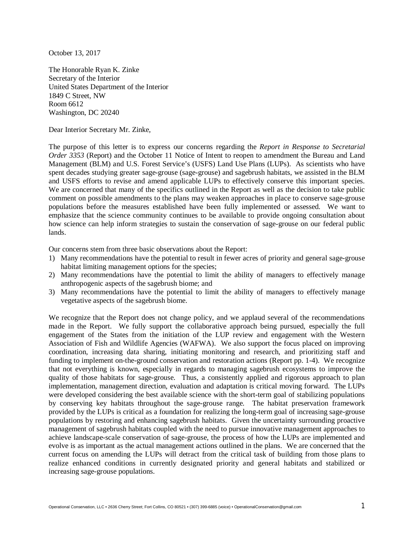October 13, 2017

The Honorable Ryan K. Zinke Secretary of the Interior United States Department of the Interior 1849 C Street, NW Room 6612 Washington, DC 20240

Dear Interior Secretary Mr. Zinke,

The purpose of this letter is to express our concerns regarding the *Report in Response to Secretarial Order 3353* (Report) and the October 11 Notice of Intent to reopen to amendment the Bureau and Land Management (BLM) and U.S. Forest Service's (USFS) Land Use Plans (LUPs). As scientists who have spent decades studying greater sage-grouse (sage-grouse) and sagebrush habitats, we assisted in the BLM and USFS efforts to revise and amend applicable LUPs to effectively conserve this important species. We are concerned that many of the specifics outlined in the Report as well as the decision to take public comment on possible amendments to the plans may weaken approaches in place to conserve sage-grouse populations before the measures established have been fully implemented or assessed. We want to emphasize that the science community continues to be available to provide ongoing consultation about how science can help inform strategies to sustain the conservation of sage-grouse on our federal public lands.

Our concerns stem from three basic observations about the Report:

- 1) Many recommendations have the potential to result in fewer acres of priority and general sage-grouse habitat limiting management options for the species;
- 2) Many recommendations have the potential to limit the ability of managers to effectively manage anthropogenic aspects of the sagebrush biome; and
- 3) Many recommendations have the potential to limit the ability of managers to effectively manage vegetative aspects of the sagebrush biome.

We recognize that the Report does not change policy, and we applaud several of the recommendations made in the Report. We fully support the collaborative approach being pursued, especially the full engagement of the States from the initiation of the LUP review and engagement with the Western Association of Fish and Wildlife Agencies (WAFWA). We also support the focus placed on improving coordination, increasing data sharing, initiating monitoring and research, and prioritizing staff and funding to implement on-the-ground conservation and restoration actions (Report pp. 1-4). We recognize that not everything is known, especially in regards to managing sagebrush ecosystems to improve the quality of those habitats for sage-grouse. Thus, a consistently applied and rigorous approach to plan implementation, management direction, evaluation and adaptation is critical moving forward. The LUPs were developed considering the best available science with the short-term goal of stabilizing populations by conserving key habitats throughout the sage-grouse range. The habitat preservation framework provided by the LUPs is critical as a foundation for realizing the long-term goal of increasing sage-grouse populations by restoring and enhancing sagebrush habitats. Given the uncertainty surrounding proactive management of sagebrush habitats coupled with the need to pursue innovative management approaches to achieve landscape-scale conservation of sage-grouse, the process of how the LUPs are implemented and evolve is as important as the actual management actions outlined in the plans. We are concerned that the current focus on amending the LUPs will detract from the critical task of building from those plans to realize enhanced conditions in currently designated priority and general habitats and stabilized or increasing sage-grouse populations.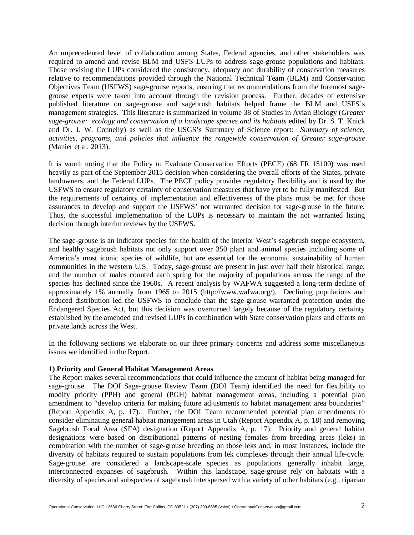An unprecedented level of collaboration among States, Federal agencies, and other stakeholders was required to amend and revise BLM and USFS LUPs to address sage-grouse populations and habitats. Those revising the LUPs considered the consistency, adequacy and durability of conservation measures relative to recommendations provided through the National Technical Team (BLM) and Conservation Objectives Team (USFWS) sage-grouse reports, ensuring that recommendations from the foremost sagegrouse experts were taken into account through the revision process. Further, decades of extensive published literature on sage-grouse and sagebrush habitats helped frame the BLM and USFS's management strategies. This literature is summarized in volume 38 of Studies in Avian Biology (*Greater sage-grouse: ecology and conservation of a landscape species and its habitats* edited by Dr. S. T. Knick and Dr. J. W. Connelly) as well as the USGS's Summary of Science report: *Summary of science, activities, programs, and policies that influence the rangewide conservation of Greater sage-grouse*  (Manier et al. 2013).

It is worth noting that the Policy to Evaluate Conservation Efforts (PECE) (68 FR 15100) was used heavily as part of the September 2015 decision when considering the overall efforts of the States, private landowners, and the Federal LUPs. The PECE policy provides regulatory flexibility and is used by the USFWS to ensure regulatory certainty of conservation measures that have yet to be fully manifested. But the requirements of certainty of implementation and effectiveness of the plans must be met for those assurances to develop and support the USFWS' not warranted decision for sage-grouse in the future. Thus, the successful implementation of the LUPs is necessary to maintain the not warranted listing decision through interim reviews by the USFWS.

The sage-grouse is an indicator species for the health of the interior West's sagebrush steppe ecosystem, and healthy sagebrush habitats not only support over 350 plant and animal species including some of America's most iconic species of wildlife, but are essential for the economic sustainability of human communities in the western U.S. Today, sage-grouse are present in just over half their historical range, and the number of males counted each spring for the majority of populations across the range of the species has declined since the 1960s. A recent analysis by WAFWA suggested a long-term decline of approximately 1% annually from 1965 to 2015 (http://www.wafwa.org/). Declining populations and reduced distribution led the USFWS to conclude that the sage-grouse warranted protection under the Endangered Species Act, but this decision was overturned largely because of the regulatory certainty established by the amended and revised LUPs in combination with State conservation plans and efforts on private lands across the West.

In the following sections we elaborate on our three primary concerns and address some miscellaneous issues we identified in the Report.

### **1) Priority and General Habitat Management Areas**

The Report makes several recommendations that could influence the amount of habitat being managed for sage-grouse. The DOI Sage-grouse Review Team (DOI Team) identified the need for flexibility to modify priority (PPH) and general (PGH) habitat management areas, including a potential plan amendment to "develop criteria for making future adjustments to habitat management area boundaries" (Report Appendix A, p. 17). Further, the DOI Team recommended potential plan amendments to consider eliminating general habitat management areas in Utah (Report Appendix A, p. 18) and removing Sagebrush Focal Area (SFA) designation (Report Appendix A, p. 17). Priority and general habitat designations were based on distributional patterns of nesting females from breeding areas (leks) in combination with the number of sage-grouse breeding on those leks and, in most instances, include the diversity of habitats required to sustain populations from lek complexes through their annual life-cycle. Sage-grouse are considered a landscape-scale species as populations generally inhabit large, interconnected expanses of sagebrush. Within this landscape, sage-grouse rely on habitats with a diversity of species and subspecies of sagebrush interspersed with a variety of other habitats (e.g., riparian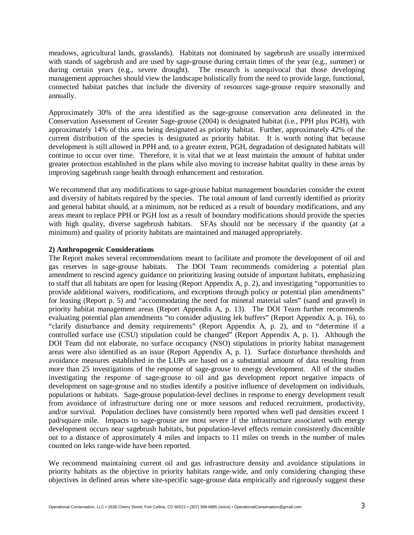meadows, agricultural lands, grasslands). Habitats not dominated by sagebrush are usually intermixed with stands of sagebrush and are used by sage-grouse during certain times of the year (e.g., summer) or during certain years (e.g., severe drought). The research is unequivocal that those developing management approaches should view the landscape holistically from the need to provide large, functional, connected habitat patches that include the diversity of resources sage-grouse require seasonally and annually.

Approximately 30% of the area identified as the sage-grouse conservation area delineated in the Conservation Assessment of Greater Sage-grouse (2004) is designated habitat (i.e., PPH plus PGH), with approximately 14% of this area being designated as priority habitat. Further, approximately 42% of the current distribution of the species is designated as priority habitat. It is worth noting that because development is still allowed in PPH and, to a greater extent, PGH, degradation of designated habitats will continue to occur over time. Therefore, it is vital that we at least maintain the amount of habitat under greater protection established in the plans while also moving to increase habitat quality in these areas by improving sagebrush range health through enhancement and restoration.

We recommend that any modifications to sage-grouse habitat management boundaries consider the extent and diversity of habitats required by the species. The total amount of land currently identified as priority and general habitat should, at a minimum, not be reduced as a result of boundary modifications, and any areas meant to replace PPH or PGH lost as a result of boundary modifications should provide the species with high quality, diverse sagebrush habitats. SFAs should not be necessary if the quantity (at a minimum) and quality of priority habitats are maintained and managed appropriately.

# **2) Anthropogenic Considerations**

The Report makes several recommendations meant to facilitate and promote the development of oil and gas reserves in sage-grouse habitats. The DOI Team recommends considering a potential plan amendment to rescind agency guidance on prioritizing leasing outside of important habitats, emphasizing to staff that all habitats are open for leasing (Report Appendix A, p. 2), and investigating "opportunities to provide additional waivers, modifications, and exceptions through policy or potential plan amendments" for leasing (Report p. 5) and "accommodating the need for mineral material sales" (sand and gravel) in priority habitat management areas (Report Appendix A, p. 13). The DOI Team further recommends evaluating potential plan amendments "to consider adjusting lek buffers" (Report Appendix A, p. 16), to "clarify disturbance and density requirements" (Report Appendix A, p. 2), and to "determine if a controlled surface use (CSU) stipulation could be changed" (Report Appendix A, p. 1). Although the DOI Team did not elaborate, no surface occupancy (NSO) stipulations in priority habitat management areas were also identified as an issue (Report Appendix A, p. 1). Surface disturbance thresholds and avoidance measures established in the LUPs are based on a substantial amount of data resulting from more than 25 investigations of the response of sage-grouse to energy development. All of the studies investigating the response of sage-grouse to oil and gas development report negative impacts of development on sage-grouse and no studies identify a positive influence of development on individuals, populations or habitats. Sage-grouse population-level declines in response to energy development result from avoidance of infrastructure during one or more seasons and reduced recruitment, productivity, and/or survival. Population declines have consistently been reported when well pad densities exceed 1 pad/square mile. Impacts to sage-grouse are most severe if the infrastructure associated with energy development occurs near sagebrush habitats, but population-level effects remain consistently discernible out to a distance of approximately 4 miles and impacts to 11 miles on trends in the number of males counted on leks range-wide have been reported.

We recommend maintaining current oil and gas infrastructure density and avoidance stipulations in priority habitats as the objective in priority habitats range-wide, and only considering changing these objectives in defined areas where site-specific sage-grouse data empirically and rigorously suggest these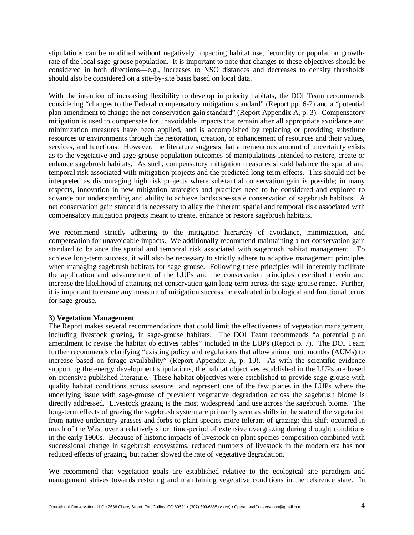stipulations can be modified without negatively impacting habitat use, fecundity or population growthrate of the local sage-grouse population. It is important to note that changes to these objectives should be considered in both directions—e.g., increases to NSO distances and decreases to density thresholds should also be considered on a site-by-site basis based on local data.

With the intention of increasing flexibility to develop in priority habitats, the DOI Team recommends considering "changes to the Federal compensatory mitigation standard" (Report pp. 6-7) and a "potential plan amendment to change the net conservation gain standard" (Report Appendix A, p. 3). Compensatory mitigation is used to compensate for unavoidable impacts that remain after all appropriate avoidance and minimization measures have been applied, and is accomplished by replacing or providing substitute resources or environments through the restoration, creation, or enhancement of resources and their values, services, and functions. However, the literature suggests that a tremendous amount of uncertainty exists as to the vegetative and sage-grouse population outcomes of manipulations intended to restore, create or enhance sagebrush habitats. As such, compensatory mitigation measures should balance the spatial and temporal risk associated with mitigation projects and the predicted long-term effects. This should not be interpreted as discouraging high risk projects where substantial conservation gain is possible; in many respects, innovation in new mitigation strategies and practices need to be considered and explored to advance our understanding and ability to achieve landscape-scale conservation of sagebrush habitats. A net conservation gain standard is necessary to allay the inherent spatial and temporal risk associated with compensatory mitigation projects meant to create, enhance or restore sagebrush habitats.

We recommend strictly adhering to the mitigation hierarchy of avoidance, minimization, and compensation for unavoidable impacts. We additionally recommend maintaining a net conservation gain standard to balance the spatial and temporal risk associated with sagebrush habitat management. To achieve long-term success, it will also be necessary to strictly adhere to adaptive management principles when managing sagebrush habitats for sage-grouse. Following these principles will inherently facilitate the application and advancement of the LUPs and the conservation principles described therein and increase the likelihood of attaining net conservation gain long-term across the sage-grouse range. Further, it is important to ensure any measure of mitigation success be evaluated in biological and functional terms for sage-grouse.

# **3) Vegetation Management**

The Report makes several recommendations that could limit the effectiveness of vegetation management, including livestock grazing, in sage-grouse habitats. The DOI Team recommends "a potential plan amendment to revise the habitat objectives tables" included in the LUPs (Report p. 7). The DOI Team further recommends clarifying "existing policy and regulations that allow animal unit months (AUMs) to increase based on forage availability" (Report Appendix A, p. 10). As with the scientific evidence supporting the energy development stipulations, the habitat objectives established in the LUPs are based on extensive published literature. These habitat objectives were established to provide sage-grouse with quality habitat conditions across seasons, and represent one of the few places in the LUPs where the underlying issue with sage-grouse of prevalent vegetative degradation across the sagebrush biome is directly addressed. Livestock grazing is the most widespread land use across the sagebrush biome. The long-term effects of grazing the sagebrush system are primarily seen as shifts in the state of the vegetation from native understory grasses and forbs to plant species more tolerant of grazing; this shift occurred in much of the West over a relatively short time-period of extensive overgrazing during drought conditions in the early 1900s. Because of historic impacts of livestock on plant species composition combined with successional change in sagebrush ecosystems, reduced numbers of livestock in the modern era has not reduced effects of grazing, but rather slowed the rate of vegetative degradation.

We recommend that vegetation goals are established relative to the ecological site paradigm and management strives towards restoring and maintaining vegetative conditions in the reference state. In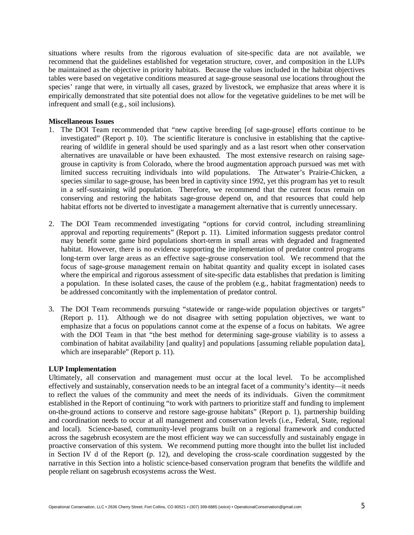situations where results from the rigorous evaluation of site-specific data are not available, we recommend that the guidelines established for vegetation structure, cover, and composition in the LUPs be maintained as the objective in priority habitats. Because the values included in the habitat objectives tables were based on vegetative conditions measured at sage-grouse seasonal use locations throughout the species' range that were, in virtually all cases, grazed by livestock, we emphasize that areas where it is empirically demonstrated that site potential does not allow for the vegetative guidelines to be met will be infrequent and small (e.g., soil inclusions).

## **Miscellaneous Issues**

- 1. The DOI Team recommended that "new captive breeding [of sage-grouse] efforts continue to be investigated" (Report p. 10). The scientific literature is conclusive in establishing that the captiverearing of wildlife in general should be used sparingly and as a last resort when other conservation alternatives are unavailable or have been exhausted. The most extensive research on raising sagegrouse in captivity is from Colorado, where the brood augmentation approach pursued was met with limited success recruiting individuals into wild populations. The Attwater's Prairie-Chicken, a species similar to sage-grouse, has been bred in captivity since 1992, yet this program has yet to result in a self-sustaining wild population. Therefore, we recommend that the current focus remain on conserving and restoring the habitats sage-grouse depend on, and that resources that could help habitat efforts not be diverted to investigate a management alternative that is currently unnecessary.
- 2. The DOI Team recommended investigating "options for corvid control, including streamlining approval and reporting requirements" (Report p. 11). Limited information suggests predator control may benefit some game bird populations short-term in small areas with degraded and fragmented habitat. However, there is no evidence supporting the implementation of predator control programs long-term over large areas as an effective sage-grouse conservation tool. We recommend that the focus of sage-grouse management remain on habitat quantity and quality except in isolated cases where the empirical and rigorous assessment of site-specific data establishes that predation is limiting a population. In these isolated cases, the cause of the problem (e.g., habitat fragmentation) needs to be addressed concomitantly with the implementation of predator control.
- 3. The DOI Team recommends pursuing "statewide or range-wide population objectives or targets" (Report p. 11). Although we do not disagree with setting population objectives, we want to emphasize that a focus on populations cannot come at the expense of a focus on habitats. We agree with the DOI Team in that "the best method for determining sage-grouse viability is to assess a combination of habitat availability [and quality] and populations [assuming reliable population data], which are inseparable" (Report p. 11).

### **LUP Implementation**

Ultimately, all conservation and management must occur at the local level. To be accomplished effectively and sustainably, conservation needs to be an integral facet of a community's identity—it needs to reflect the values of the community and meet the needs of its individuals. Given the commitment established in the Report of continuing "to work with partners to prioritize staff and funding to implement on-the-ground actions to conserve and restore sage-grouse habitats" (Report p. 1), partnership building and coordination needs to occur at all management and conservation levels (i.e., Federal, State, regional and local). Science-based, community-level programs built on a regional framework and conducted across the sagebrush ecosystem are the most efficient way we can successfully and sustainably engage in proactive conservation of this system. We recommend putting more thought into the bullet list included in Section IV d of the Report (p. 12), and developing the cross-scale coordination suggested by the narrative in this Section into a holistic science-based conservation program that benefits the wildlife and people reliant on sagebrush ecosystems across the West.